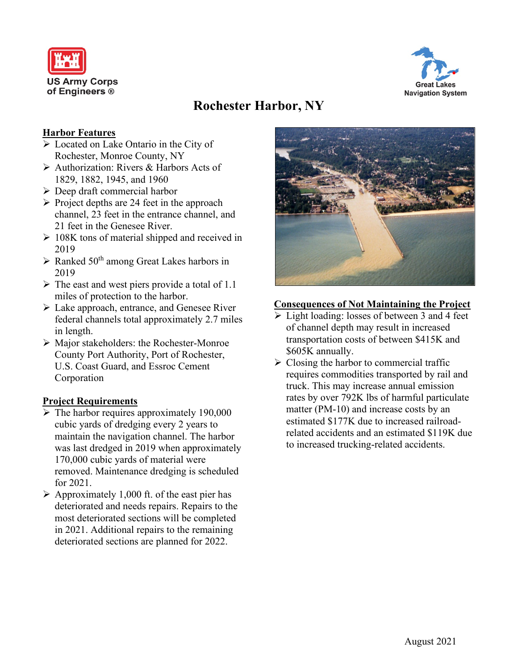



# **Rochester Harbor, NY**

#### **Harbor Features**

- **Located on Lake Ontario in the City of** Rochester, Monroe County, NY
- Authorization: Rivers & Harbors Acts of 1829, 1882, 1945, and 1960
- $\triangleright$  Deep draft commercial harbor
- $\triangleright$  Project depths are 24 feet in the approach channel, 23 feet in the entrance channel, and 21 feet in the Genesee River.
- $\geq 108K$  tons of material shipped and received in 2019
- $\triangleright$  Ranked 50<sup>th</sup> among Great Lakes harbors in 2019
- $\triangleright$  The east and west piers provide a total of 1.1 miles of protection to the harbor.
- Lake approach, entrance, and Genesee River federal channels total approximately 2.7 miles in length.
- Major stakeholders: the Rochester-Monroe County Port Authority, Port of Rochester, U.S. Coast Guard, and Essroc Cement Corporation

#### **Project Requirements**

- $\triangleright$  The harbor requires approximately 190,000 cubic yards of dredging every 2 years to maintain the navigation channel. The harbor was last dredged in 2019 when approximately 170,000 cubic yards of material were removed. Maintenance dredging is scheduled for 2021.
- $\triangleright$  Approximately 1,000 ft. of the east pier has deteriorated and needs repairs. Repairs to the most deteriorated sections will be completed in 2021. Additional repairs to the remaining deteriorated sections are planned for 2022.



#### **Consequences of Not Maintaining the Project**

- $\triangleright$  Light loading: losses of between 3 and 4 feet of channel depth may result in increased transportation costs of between \$415K and \$605K annually.
- $\triangleright$  Closing the harbor to commercial traffic requires commodities transported by rail and truck. This may increase annual emission rates by over 792K lbs of harmful particulate matter (PM-10) and increase costs by an estimated \$177K due to increased railroadrelated accidents and an estimated \$119K due to increased trucking-related accidents.